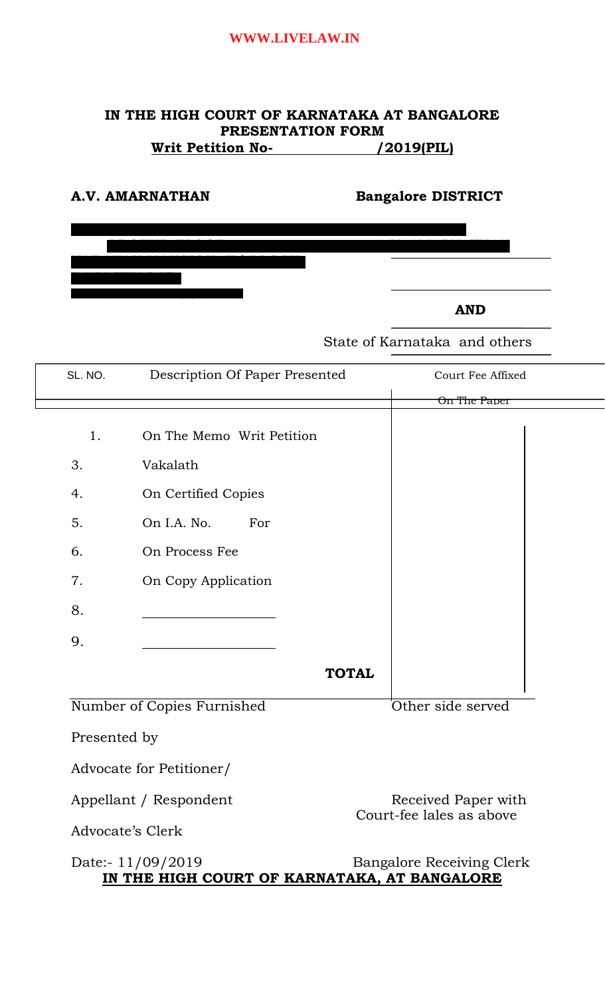# **IN THE HIGH COURT OF KARNATAKA AT BANGALORE PRESENTATION FORM Writ Petition No-** /2019(PIL)

| A.V. AMARNATHAN | <b>Bangalore DISTRICT</b> |
|-----------------|---------------------------|
|                 |                           |
|                 |                           |
|                 |                           |
|                 | <b>AND</b>                |

State of Karnataka and others

| SL. NO.      | Description Of Paper Presented                                    |              | Court Fee Affixed                |
|--------------|-------------------------------------------------------------------|--------------|----------------------------------|
|              |                                                                   |              | On The Paper                     |
| 1.           | On The Memo Writ Petition                                         |              |                                  |
| 3.           | Vakalath                                                          |              |                                  |
| 4.           | On Certified Copies                                               |              |                                  |
| 5.           | On I.A. No.<br>For                                                |              |                                  |
| 6.           | On Process Fee                                                    |              |                                  |
| 7.           | On Copy Application                                               |              |                                  |
| 8.           |                                                                   |              |                                  |
| 9.           |                                                                   |              |                                  |
|              |                                                                   | <b>TOTAL</b> |                                  |
|              | Number of Copies Furnished                                        |              | Other side served                |
| Presented by |                                                                   |              |                                  |
|              | Advocate for Petitioner/                                          |              |                                  |
|              | Appellant / Respondent                                            |              | Received Paper with              |
|              | Advocate's Clerk                                                  |              | Court-fee lales as above         |
|              | Date:- 11/09/2019<br>IN THE HIGH COURT OF KARNATAKA, AT BANGALORE |              | <b>Bangalore Receiving Clerk</b> |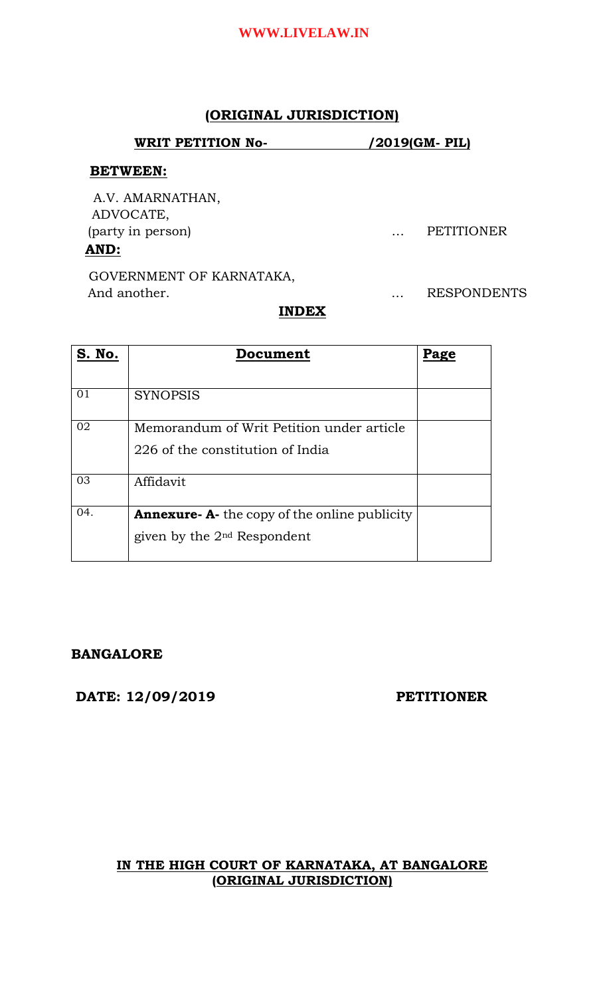# **(ORIGINAL JURISDICTION)**

#### **WRIT PETITION No- /2019(GM- PIL)**

### **BETWEEN:**

A.V. AMARNATHAN, ADVOCATE, (party in person) … PETITIONER  **AND:**

GOVERNMENT OF KARNATAKA, And another. . . . . . . . . . . . . . RESPONDENTS

## **INDEX**

| <b>S. No.</b> | Document                                            | Page |
|---------------|-----------------------------------------------------|------|
|               |                                                     |      |
| 01            | <b>SYNOPSIS</b>                                     |      |
| 02            | Memorandum of Writ Petition under article           |      |
|               | 226 of the constitution of India                    |      |
| 03            | Affidavit                                           |      |
| 04.           | <b>Annexure-A-</b> the copy of the online publicity |      |
|               | given by the $2nd$ Respondent                       |      |

# **BANGALORE**

**DATE: 12/09/2019 PETITIONER**

# **IN THE HIGH COURT OF KARNATAKA, AT BANGALORE (ORIGINAL JURISDICTION)**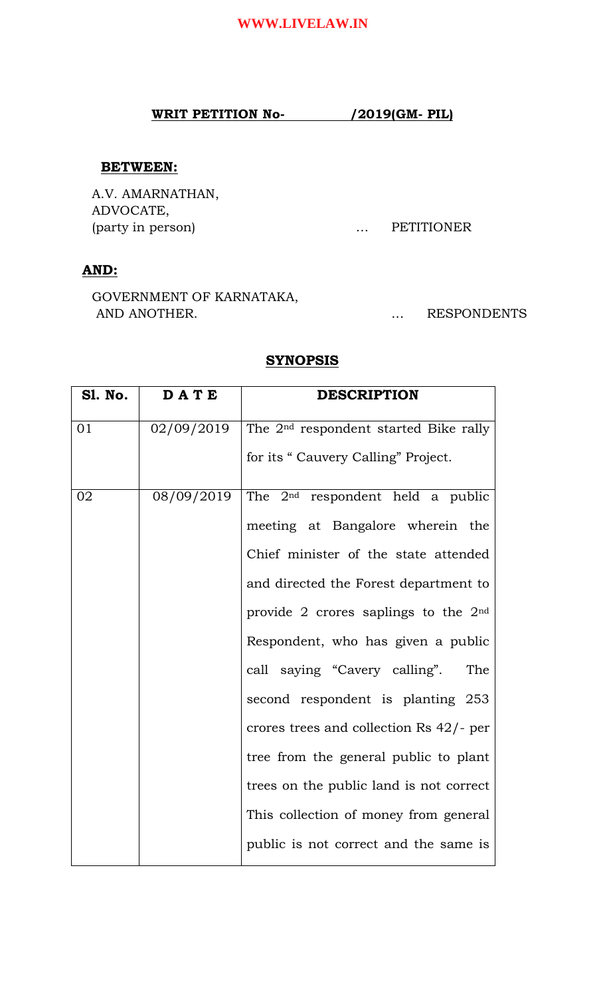### **WRIT PETITION No- /2019(GM- PIL)**

#### **BETWEEN:**

 A.V. AMARNATHAN, ADVOCATE, (party in person) … PETITIONER

# **AND:**

 GOVERNMENT OF KARNATAKA, AND ANOTHER. THE RESPONDENTS AND ANOTHER.

## **SYNOPSIS**

| <b>S1. No.</b> | <b>DATE</b> | <b>DESCRIPTION</b>                                |
|----------------|-------------|---------------------------------------------------|
| 01             | 02/09/2019  | The 2 <sup>nd</sup> respondent started Bike rally |
|                |             | for its "Cauvery Calling" Project.                |
| 02             | 08/09/2019  | The 2 <sup>nd</sup> respondent held a public      |
|                |             | meeting at Bangalore wherein the                  |
|                |             | Chief minister of the state attended              |
|                |             | and directed the Forest department to             |
|                |             | provide 2 crores saplings to the $2nd$            |
|                |             | Respondent, who has given a public                |
|                |             | call saying "Cavery calling".<br>The              |
|                |             | second respondent is planting 253                 |
|                |             | crores trees and collection Rs 42/- per           |
|                |             | tree from the general public to plant             |
|                |             | trees on the public land is not correct           |
|                |             | This collection of money from general             |
|                |             | public is not correct and the same is             |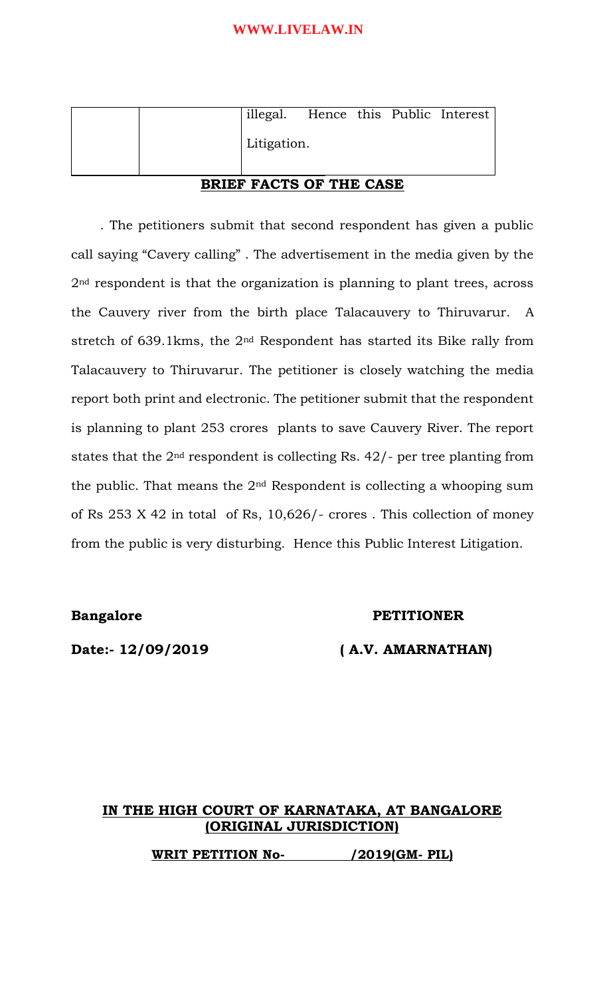|  | illegal. Hence this Public Interest |  |  |
|--|-------------------------------------|--|--|
|  | Litigation.                         |  |  |
|  |                                     |  |  |

## **BRIEF FACTS OF THE CASE**

 . The petitioners submit that second respondent has given a public call saying "Cavery calling" . The advertisement in the media given by the 2<sup>nd</sup> respondent is that the organization is planning to plant trees, across the Cauvery river from the birth place Talacauvery to Thiruvarur. A stretch of 639.1kms, the 2nd Respondent has started its Bike rally from Talacauvery to Thiruvarur. The petitioner is closely watching the media report both print and electronic. The petitioner submit that the respondent is planning to plant 253 crores plants to save Cauvery River. The report states that the 2nd respondent is collecting Rs. 42/- per tree planting from the public. That means the  $2<sup>nd</sup>$  Respondent is collecting a whooping sum of Rs 253 X 42 in total of Rs, 10,626/- crores . This collection of money from the public is very disturbing. Hence this Public Interest Litigation.

#### **Bangalore** PETITIONER

## **Date:- 12/09/2019 ( A.V. AMARNATHAN)**

# **IN THE HIGH COURT OF KARNATAKA, AT BANGALORE (ORIGINAL JURISDICTION)**

**WRIT PETITION No- /2019(GM- PIL)**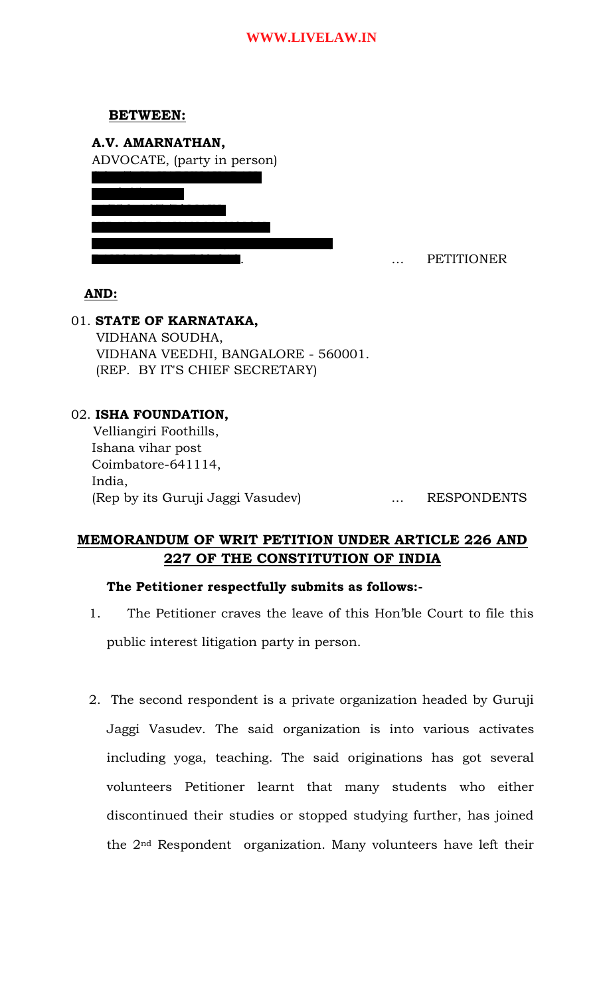## **BETWEEN:**

| ADVOCATE, (party in person) |  |
|-----------------------------|--|
|                             |  |
|                             |  |
|                             |  |
|                             |  |
|                             |  |
|                             |  |
|                             |  |

... PETITIONER

## **AND:**

01. **STATE OF KARNATAKA,** VIDHANA SOUDHA, VIDHANA VEEDHI, BANGALORE - 560001. (REP. BY IT'S CHIEF SECRETARY)

## 02. **ISHA FOUNDATION,**

Velliangiri Foothills, Ishana vihar post Coimbatore-641114, India, (Rep by its Guruji Jaggi Vasudev) ... RESPONDENTS

# **MEMORANDUM OF WRIT PETITION UNDER ARTICLE 226 AND 227 OF THE CONSTITUTION OF INDIA**

#### **The Petitioner respectfully submits as follows:-**

- 1. The Petitioner craves the leave of this Hon'ble Court to file this public interest litigation party in person.
- 2. The second respondent is a private organization headed by Guruji Jaggi Vasudev. The said organization is into various activates including yoga, teaching. The said originations has got several volunteers Petitioner learnt that many students who either discontinued their studies or stopped studying further, has joined the 2nd Respondent organization. Many volunteers have left their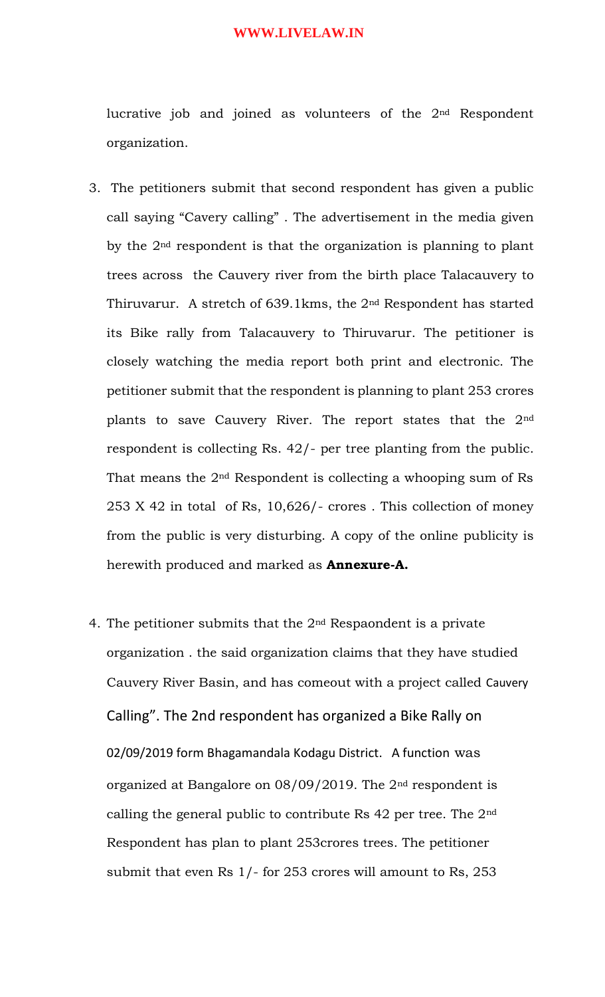lucrative job and joined as volunteers of the 2nd Respondent organization.

- 3. The petitioners submit that second respondent has given a public call saying "Cavery calling" . The advertisement in the media given by the 2nd respondent is that the organization is planning to plant trees across the Cauvery river from the birth place Talacauvery to Thiruvarur. A stretch of 639.1kms, the 2nd Respondent has started its Bike rally from Talacauvery to Thiruvarur. The petitioner is closely watching the media report both print and electronic. The petitioner submit that the respondent is planning to plant 253 crores plants to save Cauvery River. The report states that the 2nd respondent is collecting Rs. 42/- per tree planting from the public. That means the 2nd Respondent is collecting a whooping sum of Rs 253 X 42 in total of Rs, 10,626/- crores . This collection of money from the public is very disturbing. A copy of the online publicity is herewith produced and marked as **Annexure-A.**
- 4. The petitioner submits that the  $2<sup>nd</sup>$  Respaondent is a private organization . the said organization claims that they have studied Cauvery River Basin, and has comeout with a project called Cauvery Calling". The 2nd respondent has organized a Bike Rally on 02/09/2019 form Bhagamandala Kodagu District. A function was organized at Bangalore on 08/09/2019. The 2nd respondent is calling the general public to contribute Rs  $42$  per tree. The  $2<sup>nd</sup>$ Respondent has plan to plant 253crores trees. The petitioner submit that even Rs 1/- for 253 crores will amount to Rs, 253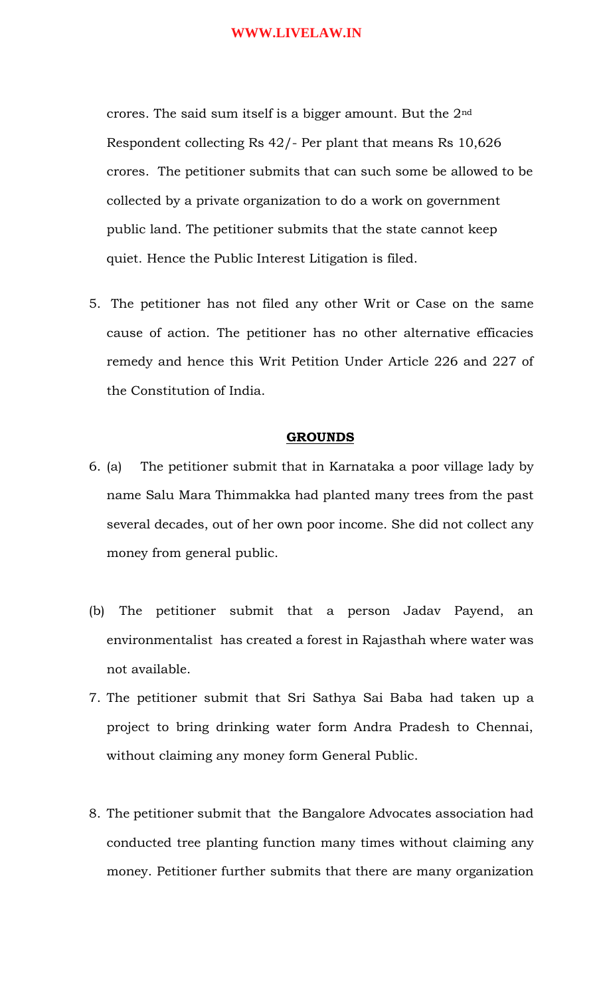crores. The said sum itself is a bigger amount. But the 2nd Respondent collecting Rs 42/- Per plant that means Rs 10,626 crores. The petitioner submits that can such some be allowed to be collected by a private organization to do a work on government public land. The petitioner submits that the state cannot keep quiet. Hence the Public Interest Litigation is filed.

5. The petitioner has not filed any other Writ or Case on the same cause of action. The petitioner has no other alternative efficacies remedy and hence this Writ Petition Under Article 226 and 227 of the Constitution of India.

#### **GROUNDS**

- 6. (a) The petitioner submit that in Karnataka a poor village lady by name Salu Mara Thimmakka had planted many trees from the past several decades, out of her own poor income. She did not collect any money from general public.
- (b) The petitioner submit that a person Jadav Payend, an environmentalist has created a forest in Rajasthah where water was not available.
- 7. The petitioner submit that Sri Sathya Sai Baba had taken up a project to bring drinking water form Andra Pradesh to Chennai, without claiming any money form General Public.
- 8. The petitioner submit that the Bangalore Advocates association had conducted tree planting function many times without claiming any money. Petitioner further submits that there are many organization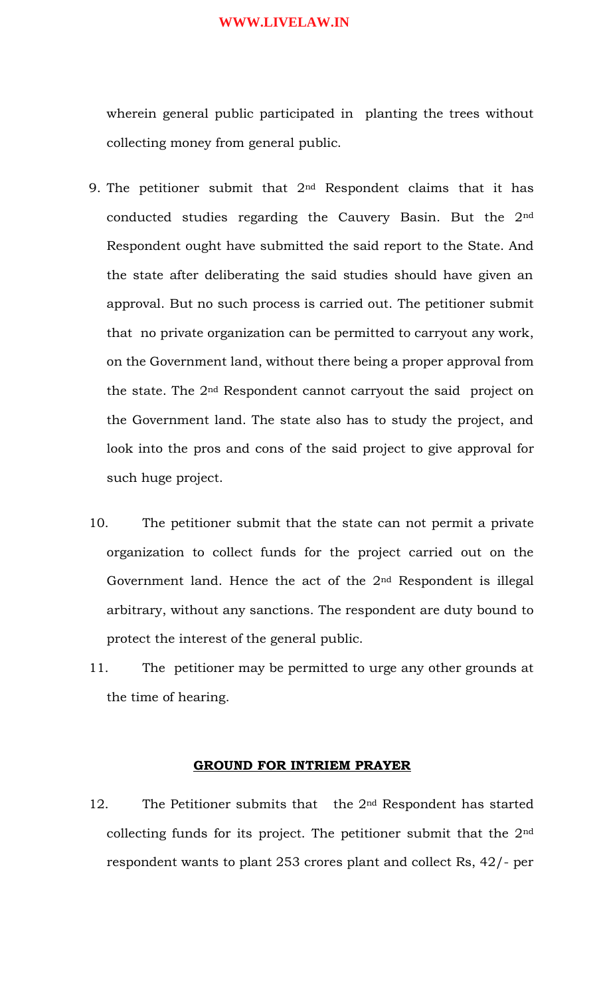wherein general public participated in planting the trees without collecting money from general public.

- 9. The petitioner submit that  $2<sup>nd</sup>$  Respondent claims that it has conducted studies regarding the Cauvery Basin. But the 2nd Respondent ought have submitted the said report to the State. And the state after deliberating the said studies should have given an approval. But no such process is carried out. The petitioner submit that no private organization can be permitted to carryout any work, on the Government land, without there being a proper approval from the state. The 2nd Respondent cannot carryout the said project on the Government land. The state also has to study the project, and look into the pros and cons of the said project to give approval for such huge project.
- 10. The petitioner submit that the state can not permit a private organization to collect funds for the project carried out on the Government land. Hence the act of the 2nd Respondent is illegal arbitrary, without any sanctions. The respondent are duty bound to protect the interest of the general public.
- 11. The petitioner may be permitted to urge any other grounds at the time of hearing.

#### **GROUND FOR INTRIEM PRAYER**

12. The Petitioner submits that the 2nd Respondent has started collecting funds for its project. The petitioner submit that the 2nd respondent wants to plant 253 crores plant and collect Rs, 42/- per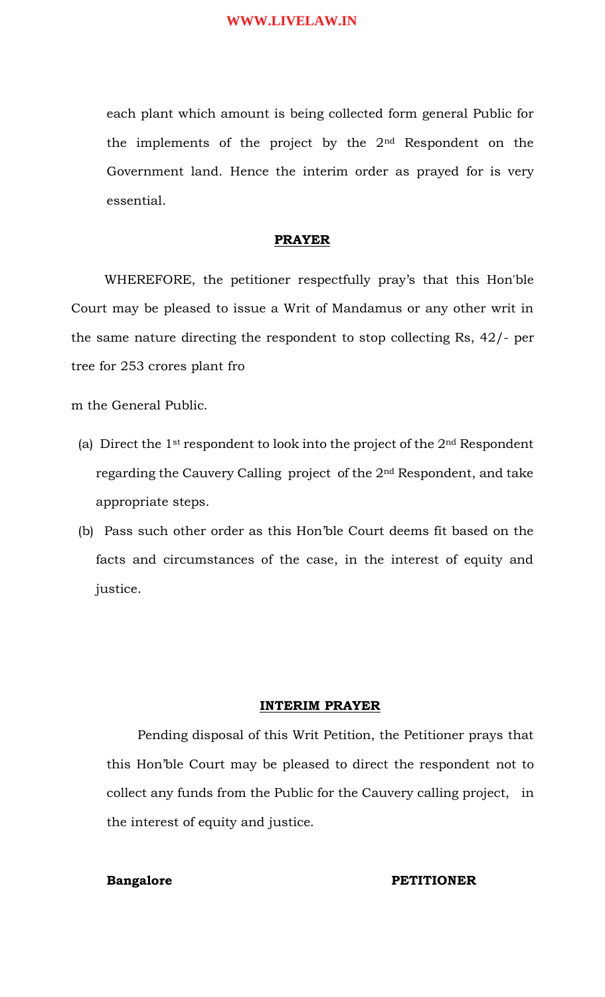each plant which amount is being collected form general Public for the implements of the project by the 2nd Respondent on the Government land. Hence the interim order as prayed for is very essential.

#### **PRAYER**

 WHEREFORE, the petitioner respectfully pray's that this Hon'ble Court may be pleased to issue a Writ of Mandamus or any other writ in the same nature directing the respondent to stop collecting Rs, 42/- per tree for 253 crores plant fro

m the General Public.

- (a) Direct the 1st respondent to look into the project of the 2nd Respondent regarding the Cauvery Calling project of the 2nd Respondent, and take appropriate steps.
- (b) Pass such other order as this Hon'ble Court deems fit based on the facts and circumstances of the case, in the interest of equity and justice.

#### **INTERIM PRAYER**

Pending disposal of this Writ Petition, the Petitioner prays that this Hon'ble Court may be pleased to direct the respondent not to collect any funds from the Public for the Cauvery calling project, in the interest of equity and justice.

#### **Bangalore** PETITIONER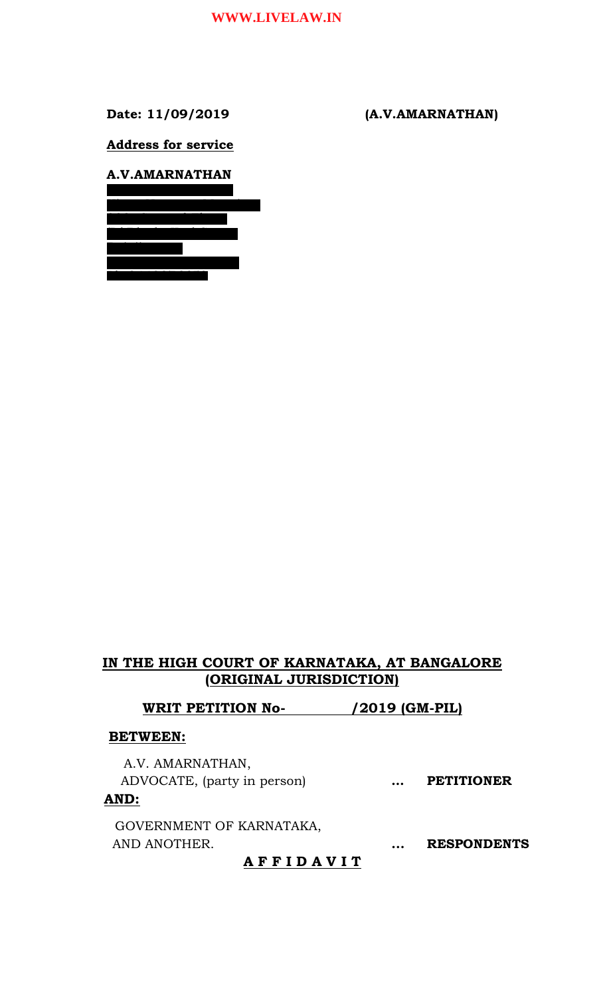**Date: 11/09/2019 (A.V.AMARNATHAN)**

**Address for service**



# **IN THE HIGH COURT OF KARNATAKA, AT BANGALORE (ORIGINAL JURISDICTION)**

**WRIT PETITION No- /2019 (GM-PIL)**

#### **BETWEEN:**

A.V. AMARNATHAN, ADVOCATE, (party in person) **… PETITIONER**

## **AND:**

GOVERNMENT OF KARNATAKA, AND ANOTHER. **... RESPONDENTS**

## **A F F I D A V I T**